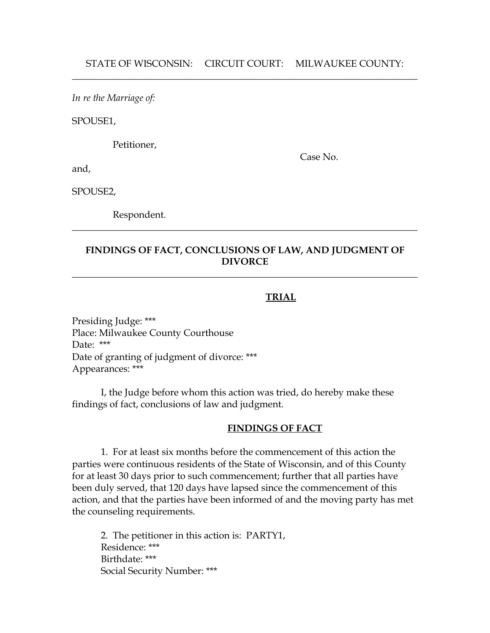*In re the Marriage of:*

SPOUSE1,

Petitioner,

and,

Case No.

SPOUSE2,

Respondent.

# **FINDINGS OF FACT, CONCLUSIONS OF LAW, AND JUDGMENT OF DIVORCE**

 $\_$  , and the set of the set of the set of the set of the set of the set of the set of the set of the set of the set of the set of the set of the set of the set of the set of the set of the set of the set of the set of th

 $\_$  , and the set of the set of the set of the set of the set of the set of the set of the set of the set of the set of the set of the set of the set of the set of the set of the set of the set of the set of the set of th

### **TRIAL**

Presiding Judge: \*\*\* Place: Milwaukee County Courthouse Date: \*\*\* Date of granting of judgment of divorce: \*\*\* Appearances: \*\*\*

I, the Judge before whom this action was tried, do hereby make these findings of fact, conclusions of law and judgment.

#### **FINDINGS OF FACT**

1. For at least six months before the commencement of this action the parties were continuous residents of the State of Wisconsin, and of this County for at least 30 days prior to such commencement; further that all parties have been duly served, that 120 days have lapsed since the commencement of this action, and that the parties have been informed of and the moving party has met the counseling requirements.

2. The petitioner in this action is: PARTY1, Residence: \*\*\* Birthdate: \*\*\* Social Security Number: \*\*\*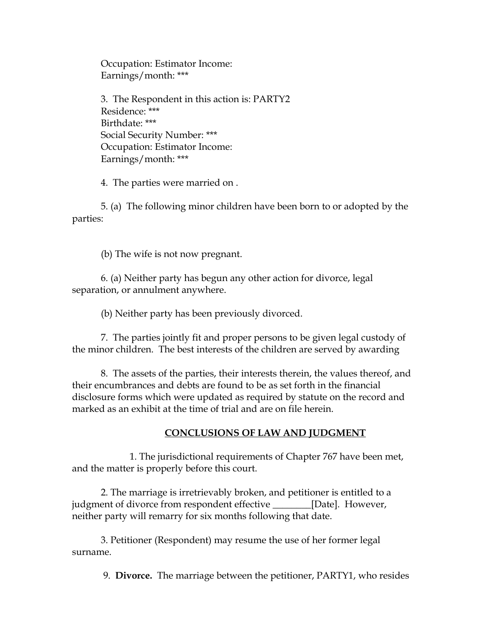Occupation: Estimator Income: Earnings/month: \*\*\*

3. The Respondent in this action is: PARTY2 Residence: \*\*\* Birthdate: \*\*\* Social Security Number: \*\*\* Occupation: Estimator Income: Earnings/month: \*\*\*

4. The parties were married on .

5. (a) The following minor children have been born to or adopted by the parties:

(b) The wife is not now pregnant.

6. (a) Neither party has begun any other action for divorce, legal separation, or annulment anywhere.

(b) Neither party has been previously divorced.

7. The parties jointly fit and proper persons to be given legal custody of the minor children. The best interests of the children are served by awarding

8. The assets of the parties, their interests therein, the values thereof, and their encumbrances and debts are found to be as set forth in the financial disclosure forms which were updated as required by statute on the record and marked as an exhibit at the time of trial and are on file herein.

## **CONCLUSIONS OF LAW AND JUDGMENT**

1. The jurisdictional requirements of Chapter 767 have been met, and the matter is properly before this court.

2. The marriage is irretrievably broken, and petitioner is entitled to a judgment of divorce from respondent effective \_\_\_\_\_\_\_\_[Date]. However, neither party will remarry for six months following that date.

3. Petitioner (Respondent) may resume the use of her former legal surname.

9. **Divorce.** The marriage between the petitioner, PARTY1, who resides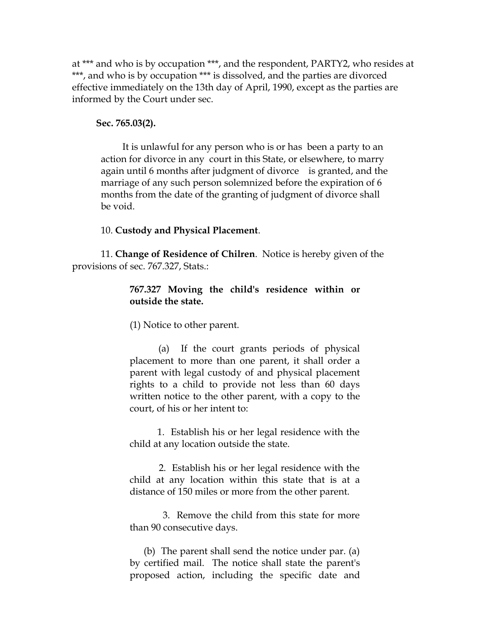at \*\*\* and who is by occupation \*\*\*, and the respondent, PARTY2, who resides at \*\*\*, and who is by occupation \*\*\* is dissolved, and the parties are divorced effective immediately on the 13th day of April, 1990, except as the parties are informed by the Court under sec.

#### **Sec. 765.03(2).**

 It is unlawful for any person who is or has been a party to an action for divorce in any court in this State, or elsewhere, to marry again until 6 months after judgment of divorce is granted, and the marriage of any such person solemnized before the expiration of 6 months from the date of the granting of judgment of divorce shall be void.

#### 10. **Custody and Physical Placement**.

11. **Change of Residence of Chilren**. Notice is hereby given of the provisions of sec. 767.327, Stats.:

### **767.327 Moving the child's residence within or outside the state.**

(1) Notice to other parent.

(a) If the court grants periods of physical placement to more than one parent, it shall order a parent with legal custody of and physical placement rights to a child to provide not less than 60 days written notice to the other parent, with a copy to the court, of his or her intent to:

1. Establish his or her legal residence with the child at any location outside the state.

2. Establish his or her legal residence with the child at any location within this state that is at a distance of 150 miles or more from the other parent.

3. Remove the child from this state for more than 90 consecutive days.

(b) The parent shall send the notice under par. (a) by certified mail. The notice shall state the parent's proposed action, including the specific date and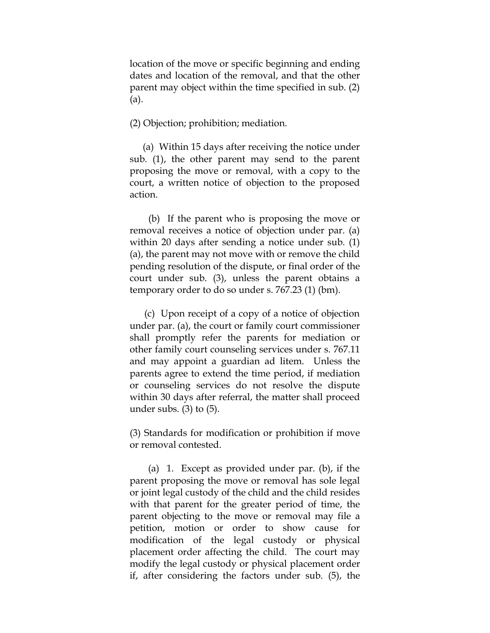location of the move or specific beginning and ending dates and location of the removal, and that the other parent may object within the time specified in sub. (2) (a).

(2) Objection; prohibition; mediation.

(a) Within 15 days after receiving the notice under sub. (1), the other parent may send to the parent proposing the move or removal, with a copy to the court, a written notice of objection to the proposed action.

(b) If the parent who is proposing the move or removal receives a notice of objection under par. (a) within 20 days after sending a notice under sub. (1) (a), the parent may not move with or remove the child pending resolution of the dispute, or final order of the court under sub. (3), unless the parent obtains a temporary order to do so under s. 767.23 (1) (bm).

(c) Upon receipt of a copy of a notice of objection under par. (a), the court or family court commissioner shall promptly refer the parents for mediation or other family court counseling services under s. 767.11 and may appoint a guardian ad litem. Unless the parents agree to extend the time period, if mediation or counseling services do not resolve the dispute within 30 days after referral, the matter shall proceed under subs.  $(3)$  to  $(5)$ .

(3) Standards for modification or prohibition if move or removal contested.

(a) 1. Except as provided under par. (b), if the parent proposing the move or removal has sole legal or joint legal custody of the child and the child resides with that parent for the greater period of time, the parent objecting to the move or removal may file a petition, motion or order to show cause for modification of the legal custody or physical placement order affecting the child. The court may modify the legal custody or physical placement order if, after considering the factors under sub. (5), the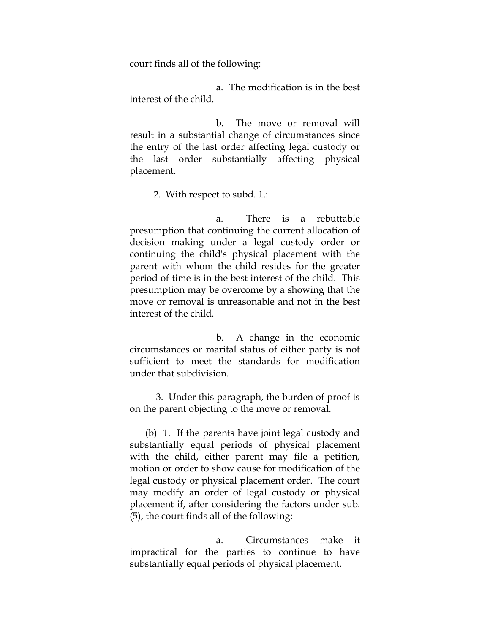court finds all of the following:

a. The modification is in the best interest of the child.

b. The move or removal will result in a substantial change of circumstances since the entry of the last order affecting legal custody or the last order substantially affecting physical placement.

2. With respect to subd. 1.:

a. There is a rebuttable presumption that continuing the current allocation of decision making under a legal custody order or continuing the child's physical placement with the parent with whom the child resides for the greater period of time is in the best interest of the child. This presumption may be overcome by a showing that the move or removal is unreasonable and not in the best interest of the child.

b. A change in the economic circumstances or marital status of either party is not sufficient to meet the standards for modification under that subdivision.

3. Under this paragraph, the burden of proof is on the parent objecting to the move or removal.

(b) 1. If the parents have joint legal custody and substantially equal periods of physical placement with the child, either parent may file a petition, motion or order to show cause for modification of the legal custody or physical placement order. The court may modify an order of legal custody or physical placement if, after considering the factors under sub. (5), the court finds all of the following:

a. Circumstances make it impractical for the parties to continue to have substantially equal periods of physical placement.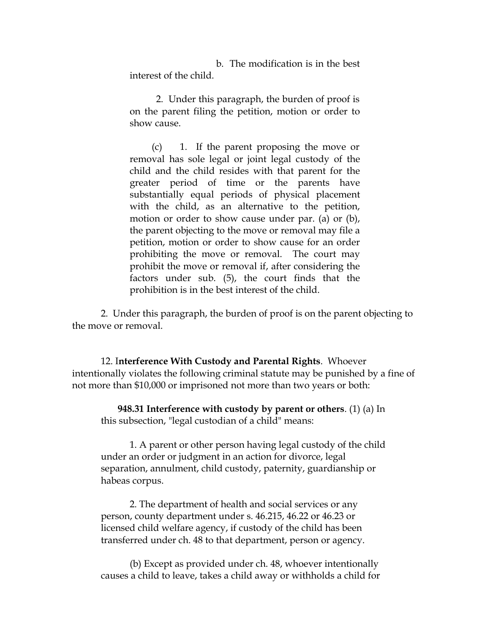b. The modification is in the best interest of the child.

2. Under this paragraph, the burden of proof is on the parent filing the petition, motion or order to show cause.

(c) 1. If the parent proposing the move or removal has sole legal or joint legal custody of the child and the child resides with that parent for the greater period of time or the parents have substantially equal periods of physical placement with the child, as an alternative to the petition, motion or order to show cause under par. (a) or (b), the parent objecting to the move or removal may file a petition, motion or order to show cause for an order prohibiting the move or removal. The court may prohibit the move or removal if, after considering the factors under sub. (5), the court finds that the prohibition is in the best interest of the child.

2. Under this paragraph, the burden of proof is on the parent objecting to the move or removal.

12. I**nterference With Custody and Parental Rights**. Whoever intentionally violates the following criminal statute may be punished by a fine of not more than \$10,000 or imprisoned not more than two years or both:

 **948.31 Interference with custody by parent or others**. (1) (a) In this subsection, "legal custodian of a child" means:

1. A parent or other person having legal custody of the child under an order or judgment in an action for divorce, legal separation, annulment, child custody, paternity, guardianship or habeas corpus.

2. The department of health and social services or any person, county department under s. 46.215, 46.22 or 46.23 or licensed child welfare agency, if custody of the child has been transferred under ch. 48 to that department, person or agency.

(b) Except as provided under ch. 48, whoever intentionally causes a child to leave, takes a child away or withholds a child for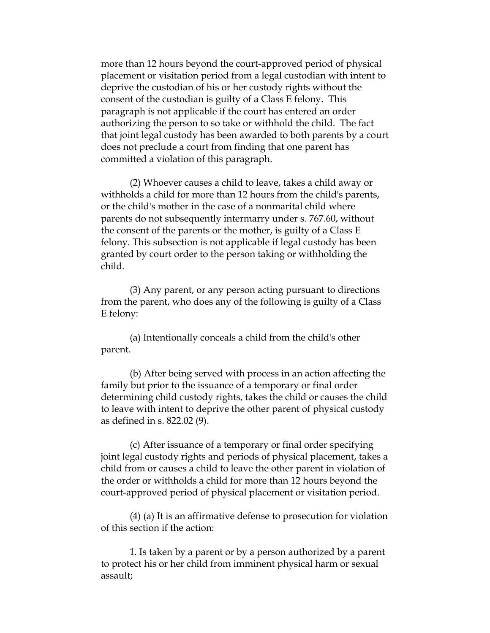more than 12 hours beyond the court-approved period of physical placement or visitation period from a legal custodian with intent to deprive the custodian of his or her custody rights without the consent of the custodian is guilty of a Class E felony. This paragraph is not applicable if the court has entered an order authorizing the person to so take or withhold the child. The fact that joint legal custody has been awarded to both parents by a court does not preclude a court from finding that one parent has committed a violation of this paragraph.

(2) Whoever causes a child to leave, takes a child away or withholds a child for more than 12 hours from the child's parents, or the child's mother in the case of a nonmarital child where parents do not subsequently intermarry under s. 767.60, without the consent of the parents or the mother, is guilty of a Class E felony. This subsection is not applicable if legal custody has been granted by court order to the person taking or withholding the child.

(3) Any parent, or any person acting pursuant to directions from the parent, who does any of the following is guilty of a Class E felony:

(a) Intentionally conceals a child from the child's other parent.

(b) After being served with process in an action affecting the family but prior to the issuance of a temporary or final order determining child custody rights, takes the child or causes the child to leave with intent to deprive the other parent of physical custody as defined in s. 822.02 (9).

(c) After issuance of a temporary or final order specifying joint legal custody rights and periods of physical placement, takes a child from or causes a child to leave the other parent in violation of the order or withholds a child for more than 12 hours beyond the court-approved period of physical placement or visitation period.

(4) (a) It is an affirmative defense to prosecution for violation of this section if the action:

1. Is taken by a parent or by a person authorized by a parent to protect his or her child from imminent physical harm or sexual assault;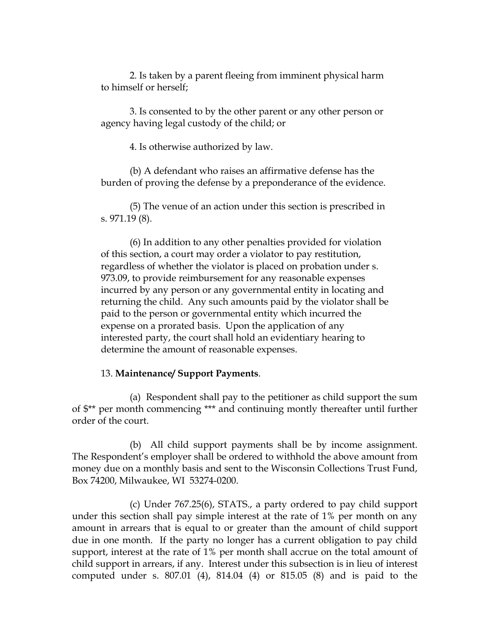2. Is taken by a parent fleeing from imminent physical harm to himself or herself;

3. Is consented to by the other parent or any other person or agency having legal custody of the child; or

4. Is otherwise authorized by law.

(b) A defendant who raises an affirmative defense has the burden of proving the defense by a preponderance of the evidence.

(5) The venue of an action under this section is prescribed in s. 971.19 (8).

(6) In addition to any other penalties provided for violation of this section, a court may order a violator to pay restitution, regardless of whether the violator is placed on probation under s. 973.09, to provide reimbursement for any reasonable expenses incurred by any person or any governmental entity in locating and returning the child. Any such amounts paid by the violator shall be paid to the person or governmental entity which incurred the expense on a prorated basis. Upon the application of any interested party, the court shall hold an evidentiary hearing to determine the amount of reasonable expenses.

#### 13. **Maintenance/ Support Payments**.

(a) Respondent shall pay to the petitioner as child support the sum of \$\*\* per month commencing \*\*\* and continuing montly thereafter until further order of the court.

(b) All child support payments shall be by income assignment. The Respondent's employer shall be ordered to withhold the above amount from money due on a monthly basis and sent to the Wisconsin Collections Trust Fund, Box 74200, Milwaukee, WI 53274-0200.

(c) Under 767.25(6), STATS., a party ordered to pay child support under this section shall pay simple interest at the rate of 1% per month on any amount in arrears that is equal to or greater than the amount of child support due in one month. If the party no longer has a current obligation to pay child support, interest at the rate of 1% per month shall accrue on the total amount of child support in arrears, if any. Interest under this subsection is in lieu of interest computed under s. 807.01 (4), 814.04 (4) or 815.05 (8) and is paid to the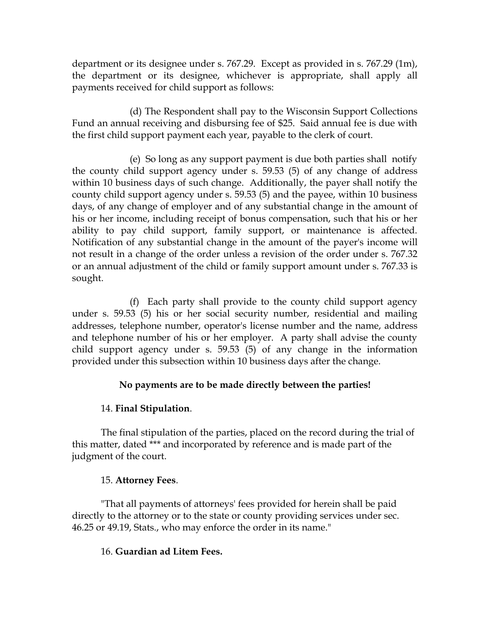department or its designee under s. 767.29. Except as provided in s. 767.29 (1m), the department or its designee, whichever is appropriate, shall apply all payments received for child support as follows:

(d) The Respondent shall pay to the Wisconsin Support Collections Fund an annual receiving and disbursing fee of \$25. Said annual fee is due with the first child support payment each year, payable to the clerk of court.

(e) So long as any support payment is due both parties shall notify the county child support agency under s. 59.53 (5) of any change of address within 10 business days of such change. Additionally, the payer shall notify the county child support agency under s. 59.53 (5) and the payee, within 10 business days, of any change of employer and of any substantial change in the amount of his or her income, including receipt of bonus compensation, such that his or her ability to pay child support, family support, or maintenance is affected. Notification of any substantial change in the amount of the payer's income will not result in a change of the order unless a revision of the order under s. 767.32 or an annual adjustment of the child or family support amount under s. 767.33 is sought.

(f) Each party shall provide to the county child support agency under s. 59.53 (5) his or her social security number, residential and mailing addresses, telephone number, operator's license number and the name, address and telephone number of his or her employer. A party shall advise the county child support agency under s. 59.53 (5) of any change in the information provided under this subsection within 10 business days after the change.

## **No payments are to be made directly between the parties!**

## 14. **Final Stipulation**.

The final stipulation of the parties, placed on the record during the trial of this matter, dated \*\*\* and incorporated by reference and is made part of the judgment of the court.

### 15. **Attorney Fees**.

"That all payments of attorneys' fees provided for herein shall be paid directly to the attorney or to the state or county providing services under sec. 46.25 or 49.19, Stats., who may enforce the order in its name."

### 16. **Guardian ad Litem Fees.**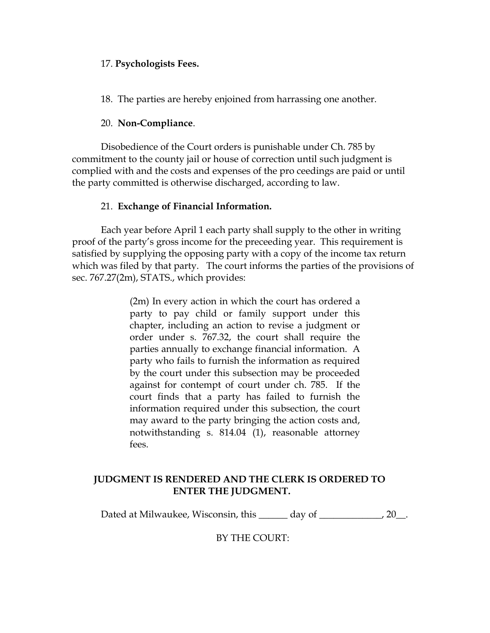#### 17. **Psychologists Fees.**

18. The parties are hereby enjoined from harrassing one another.

### 20. **Non-Compliance**.

Disobedience of the Court orders is punishable under Ch. 785 by commitment to the county jail or house of correction until such judgment is complied with and the costs and expenses of the pro ceedings are paid or until the party committed is otherwise discharged, according to law.

### 21. **Exchange of Financial Information.**

Each year before April 1 each party shall supply to the other in writing proof of the party's gross income for the preceeding year. This requirement is satisfied by supplying the opposing party with a copy of the income tax return which was filed by that party. The court informs the parties of the provisions of sec. 767.27(2m), STATS., which provides:

> (2m) In every action in which the court has ordered a party to pay child or family support under this chapter, including an action to revise a judgment or order under s. 767.32, the court shall require the parties annually to exchange financial information. A party who fails to furnish the information as required by the court under this subsection may be proceeded against for contempt of court under ch. 785. If the court finds that a party has failed to furnish the information required under this subsection, the court may award to the party bringing the action costs and, notwithstanding s. 814.04 (1), reasonable attorney fees.

# **JUDGMENT IS RENDERED AND THE CLERK IS ORDERED TO ENTER THE JUDGMENT.**

Dated at Milwaukee, Wisconsin, this \_\_\_\_\_\_ day of \_\_\_\_\_\_\_\_\_\_\_\_, 20\_\_.

BY THE COURT: